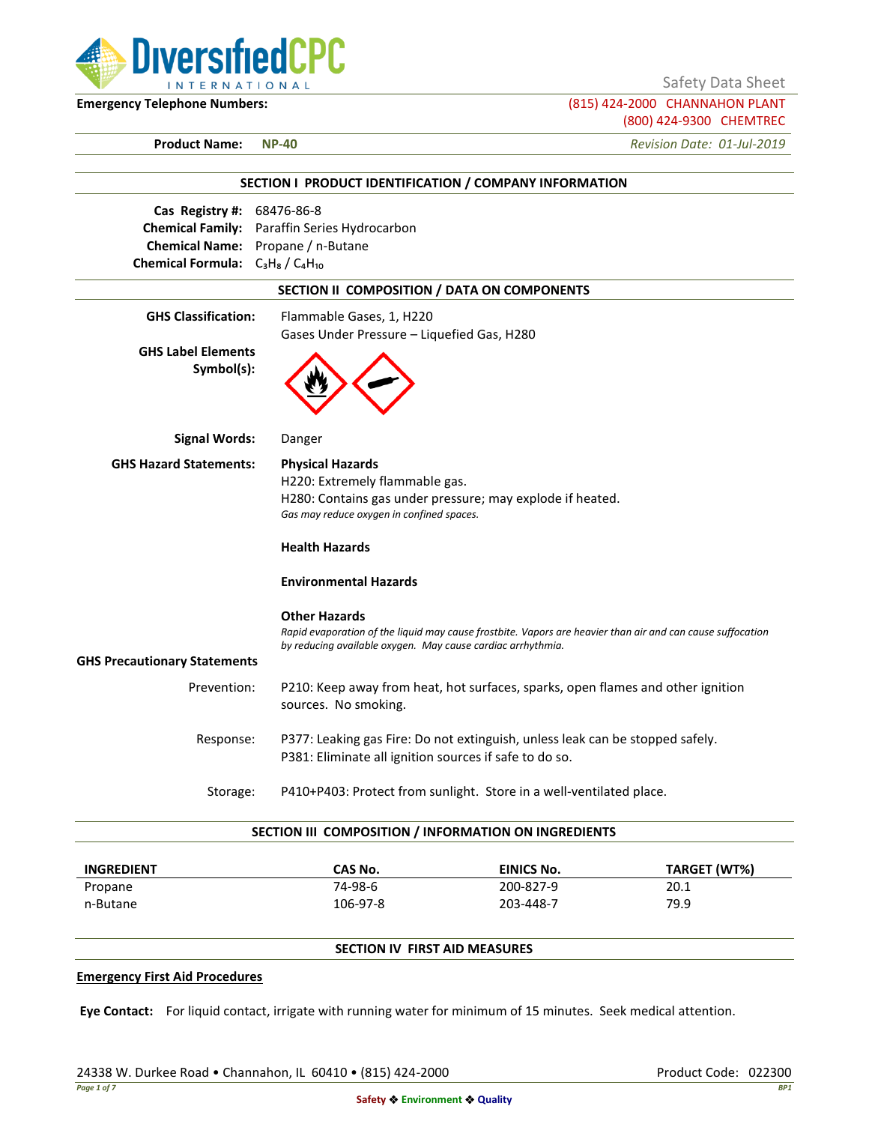

Safety Data Sheet

**Emergency Telephone Numbers:** (815) 424-2000 CHANNAHON PLANT (800) 424-9300 CHEMTREC

**Product Name: NP-40** *Revision Date: 01-Jul-2019*

|                                                                                  | SECTION I PRODUCT IDENTIFICATION / COMPANY INFORMATION                                                                                                                                            |
|----------------------------------------------------------------------------------|---------------------------------------------------------------------------------------------------------------------------------------------------------------------------------------------------|
| Cas Registry #: 68476-86-8                                                       |                                                                                                                                                                                                   |
| Chemical Name: Propane / n-Butane                                                | Chemical Family: Paraffin Series Hydrocarbon                                                                                                                                                      |
| Chemical Formula: C <sub>3</sub> H <sub>8</sub> / C <sub>4</sub> H <sub>10</sub> |                                                                                                                                                                                                   |
|                                                                                  | SECTION II COMPOSITION / DATA ON COMPONENTS                                                                                                                                                       |
|                                                                                  |                                                                                                                                                                                                   |
| <b>GHS Classification:</b>                                                       | Flammable Gases, 1, H220                                                                                                                                                                          |
| <b>GHS Label Elements</b><br>Symbol(s):                                          | Gases Under Pressure - Liquefied Gas, H280                                                                                                                                                        |
| <b>Signal Words:</b>                                                             | Danger                                                                                                                                                                                            |
| <b>GHS Hazard Statements:</b>                                                    | <b>Physical Hazards</b>                                                                                                                                                                           |
|                                                                                  | H220: Extremely flammable gas.                                                                                                                                                                    |
|                                                                                  | H280: Contains gas under pressure; may explode if heated.                                                                                                                                         |
|                                                                                  | Gas may reduce oxygen in confined spaces.                                                                                                                                                         |
|                                                                                  | <b>Health Hazards</b>                                                                                                                                                                             |
|                                                                                  | <b>Environmental Hazards</b>                                                                                                                                                                      |
|                                                                                  | <b>Other Hazards</b><br>Rapid evaporation of the liquid may cause frostbite. Vapors are heavier than air and can cause suffocation<br>by reducing available oxygen. May cause cardiac arrhythmia. |
| <b>GHS Precautionary Statements</b>                                              |                                                                                                                                                                                                   |
| Prevention:                                                                      | P210: Keep away from heat, hot surfaces, sparks, open flames and other ignition<br>sources. No smoking.                                                                                           |
| Response:                                                                        | P377: Leaking gas Fire: Do not extinguish, unless leak can be stopped safely.                                                                                                                     |
|                                                                                  | P381: Eliminate all ignition sources if safe to do so.                                                                                                                                            |
| Storage:                                                                         | P410+P403: Protect from sunlight. Store in a well-ventilated place.                                                                                                                               |
|                                                                                  | SECTION III COMPOSITION / INFORMATION ON INGREDIENTS                                                                                                                                              |

| <b>INGREDIENT</b> | CAS No.  | <b>EINICS No.</b> | TARGET (WT%) |
|-------------------|----------|-------------------|--------------|
| Propane           | 74-98-6  | 200-827-9         | 20.1         |
| n-Butane          | 106-97-8 | 203-448-7         | 79.9         |

# **SECTION IV FIRST AID MEASURES**

### **Emergency First Aid Procedures**

**Eye Contact:** For liquid contact, irrigate with running water for minimum of 15 minutes. Seek medical attention.

24338 W. Durkee Road • Channahon, IL 60410 • (815) 424-2000 Product Code: 022300 Product Code: 022300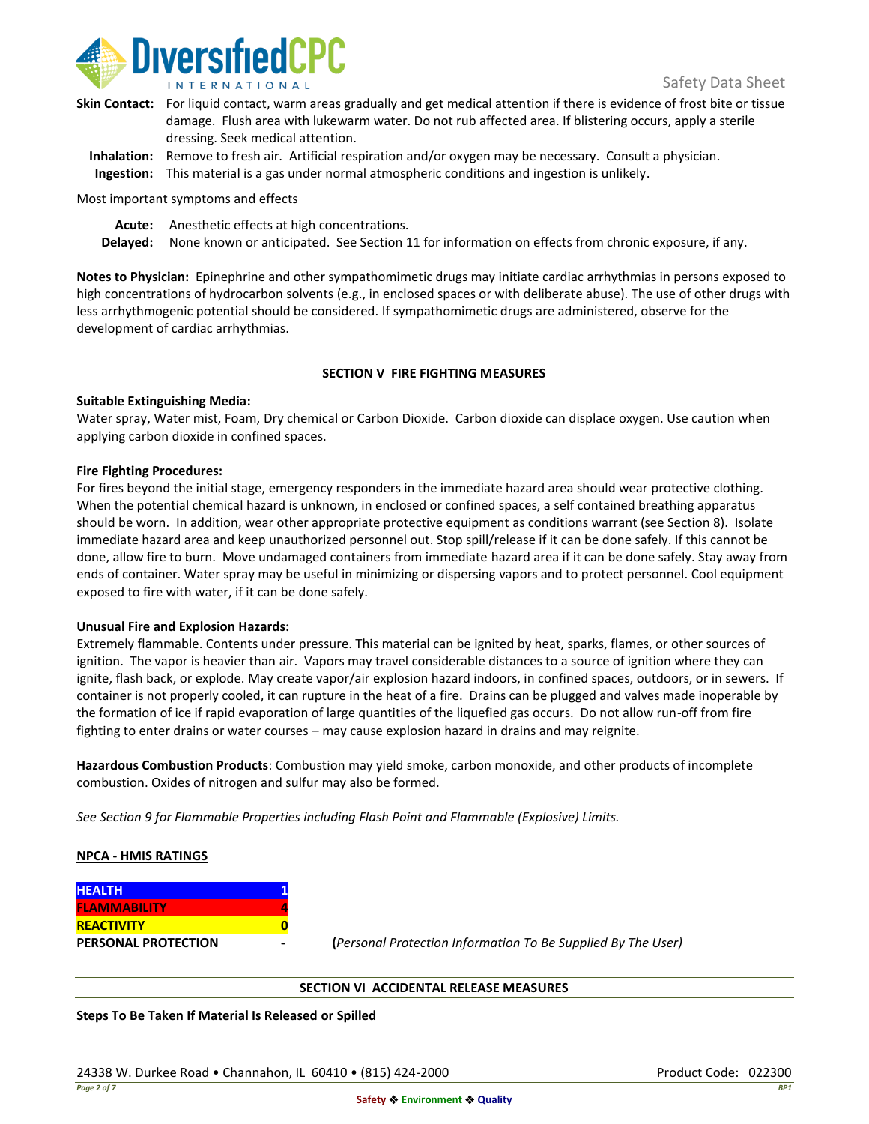

| Skin Contact: For liquid contact, warm areas gradually and get medical attention if there is evidence of frost bite or tissue |
|-------------------------------------------------------------------------------------------------------------------------------|
| damage. Flush area with lukewarm water. Do not rub affected area. If blistering occurs, apply a sterile                       |
| dressing. Seek medical attention.                                                                                             |
|                                                                                                                               |

**Inhalation:** Remove to fresh air. Artificial respiration and/or oxygen may be necessary. Consult a physician. **Ingestion:** This material is a gas under normal atmospheric conditions and ingestion is unlikely.

Most important symptoms and effects

**Acute:** Anesthetic effects at high concentrations.

**Delayed:** None known or anticipated. See Section 11 for information on effects from chronic exposure, if any.

**Notes to Physician:** Epinephrine and other sympathomimetic drugs may initiate cardiac arrhythmias in persons exposed to high concentrations of hydrocarbon solvents (e.g., in enclosed spaces or with deliberate abuse). The use of other drugs with less arrhythmogenic potential should be considered. If sympathomimetic drugs are administered, observe for the development of cardiac arrhythmias.

### **SECTION V FIRE FIGHTING MEASURES**

### **Suitable Extinguishing Media:**

Water spray, Water mist, Foam, Dry chemical or Carbon Dioxide. Carbon dioxide can displace oxygen. Use caution when applying carbon dioxide in confined spaces.

### **Fire Fighting Procedures:**

For fires beyond the initial stage, emergency responders in the immediate hazard area should wear protective clothing. When the potential chemical hazard is unknown, in enclosed or confined spaces, a self contained breathing apparatus should be worn. In addition, wear other appropriate protective equipment as conditions warrant (see Section 8). Isolate immediate hazard area and keep unauthorized personnel out. Stop spill/release if it can be done safely. If this cannot be done, allow fire to burn. Move undamaged containers from immediate hazard area if it can be done safely. Stay away from ends of container. Water spray may be useful in minimizing or dispersing vapors and to protect personnel. Cool equipment exposed to fire with water, if it can be done safely.

### **Unusual Fire and Explosion Hazards:**

Extremely flammable. Contents under pressure. This material can be ignited by heat, sparks, flames, or other sources of ignition. The vapor is heavier than air. Vapors may travel considerable distances to a source of ignition where they can ignite, flash back, or explode. May create vapor/air explosion hazard indoors, in confined spaces, outdoors, or in sewers. If container is not properly cooled, it can rupture in the heat of a fire. Drains can be plugged and valves made inoperable by the formation of ice if rapid evaporation of large quantities of the liquefied gas occurs. Do not allow run-off from fire fighting to enter drains or water courses – may cause explosion hazard in drains and may reignite.

**Hazardous Combustion Products**: Combustion may yield smoke, carbon monoxide, and other products of incomplete combustion. Oxides of nitrogen and sulfur may also be formed.

*See Section 9 for Flammable Properties including Flash Point and Flammable (Explosive) Limits.*

### **NPCA - HMIS RATINGS**

| <b>HEALTH</b>              |  |
|----------------------------|--|
| <b>FLAMMABILITY</b>        |  |
| <b>REACTIVITY</b>          |  |
| <b>PERSONAL PROTECTION</b> |  |

**PERSONAL PROTECTION - (***Personal Protection Information To Be Supplied By The User)*

### **SECTION VI ACCIDENTAL RELEASE MEASURES**

**Steps To Be Taken If Material Is Released or Spilled**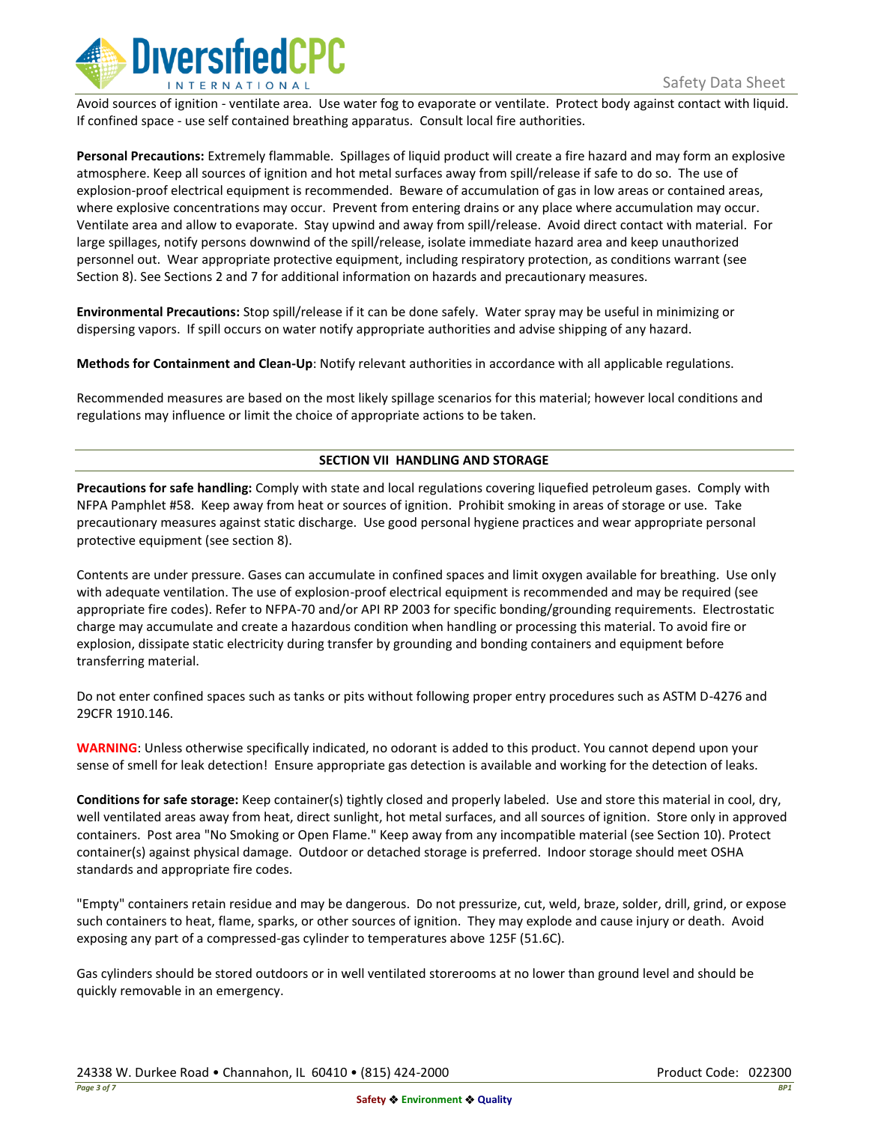

Avoid sources of ignition - ventilate area. Use water fog to evaporate or ventilate. Protect body against contact with liquid. If confined space - use self contained breathing apparatus. Consult local fire authorities.

**Personal Precautions:** Extremely flammable. Spillages of liquid product will create a fire hazard and may form an explosive atmosphere. Keep all sources of ignition and hot metal surfaces away from spill/release if safe to do so. The use of explosion-proof electrical equipment is recommended. Beware of accumulation of gas in low areas or contained areas, where explosive concentrations may occur. Prevent from entering drains or any place where accumulation may occur. Ventilate area and allow to evaporate. Stay upwind and away from spill/release. Avoid direct contact with material. For large spillages, notify persons downwind of the spill/release, isolate immediate hazard area and keep unauthorized personnel out. Wear appropriate protective equipment, including respiratory protection, as conditions warrant (see Section 8). See Sections 2 and 7 for additional information on hazards and precautionary measures.

**Environmental Precautions:** Stop spill/release if it can be done safely. Water spray may be useful in minimizing or dispersing vapors. If spill occurs on water notify appropriate authorities and advise shipping of any hazard.

**Methods for Containment and Clean-Up**: Notify relevant authorities in accordance with all applicable regulations.

Recommended measures are based on the most likely spillage scenarios for this material; however local conditions and regulations may influence or limit the choice of appropriate actions to be taken.

## **SECTION VII HANDLING AND STORAGE**

**Precautions for safe handling:** Comply with state and local regulations covering liquefied petroleum gases. Comply with NFPA Pamphlet #58. Keep away from heat or sources of ignition. Prohibit smoking in areas of storage or use. Take precautionary measures against static discharge. Use good personal hygiene practices and wear appropriate personal protective equipment (see section 8).

Contents are under pressure. Gases can accumulate in confined spaces and limit oxygen available for breathing. Use only with adequate ventilation. The use of explosion-proof electrical equipment is recommended and may be required (see appropriate fire codes). Refer to NFPA-70 and/or API RP 2003 for specific bonding/grounding requirements. Electrostatic charge may accumulate and create a hazardous condition when handling or processing this material. To avoid fire or explosion, dissipate static electricity during transfer by grounding and bonding containers and equipment before transferring material.

Do not enter confined spaces such as tanks or pits without following proper entry procedures such as ASTM D-4276 and 29CFR 1910.146.

**WARNING**: Unless otherwise specifically indicated, no odorant is added to this product. You cannot depend upon your sense of smell for leak detection! Ensure appropriate gas detection is available and working for the detection of leaks.

**Conditions for safe storage:** Keep container(s) tightly closed and properly labeled. Use and store this material in cool, dry, well ventilated areas away from heat, direct sunlight, hot metal surfaces, and all sources of ignition. Store only in approved containers. Post area "No Smoking or Open Flame." Keep away from any incompatible material (see Section 10). Protect container(s) against physical damage. Outdoor or detached storage is preferred. Indoor storage should meet OSHA standards and appropriate fire codes.

"Empty" containers retain residue and may be dangerous. Do not pressurize, cut, weld, braze, solder, drill, grind, or expose such containers to heat, flame, sparks, or other sources of ignition. They may explode and cause injury or death. Avoid exposing any part of a compressed-gas cylinder to temperatures above 125F (51.6C).

Gas cylinders should be stored outdoors or in well ventilated storerooms at no lower than ground level and should be quickly removable in an emergency.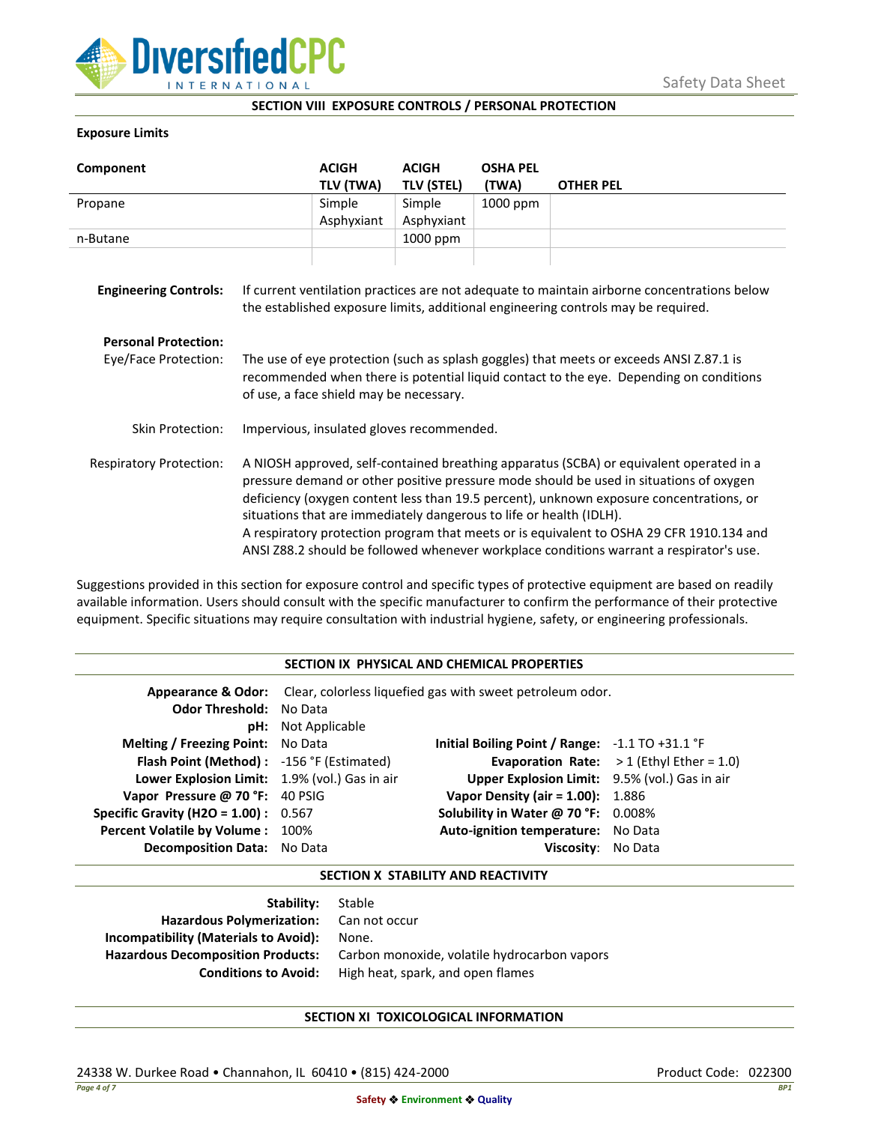

### **SECTION VIII EXPOSURE CONTROLS / PERSONAL PROTECTION**

### **Exposure Limits**

| Component                                           |                                                                                                                                                                                                                                                                                                                                                                                                                                                                                                                                            | <b>ACIGH</b><br>TLV (TWA) | <b>ACIGH</b><br><b>TLV (STEL)</b> | <b>OSHA PEL</b><br>(TWA) | <b>OTHER PEL</b> |
|-----------------------------------------------------|--------------------------------------------------------------------------------------------------------------------------------------------------------------------------------------------------------------------------------------------------------------------------------------------------------------------------------------------------------------------------------------------------------------------------------------------------------------------------------------------------------------------------------------------|---------------------------|-----------------------------------|--------------------------|------------------|
| Propane                                             |                                                                                                                                                                                                                                                                                                                                                                                                                                                                                                                                            | Simple                    | Simple                            | 1000 ppm                 |                  |
|                                                     |                                                                                                                                                                                                                                                                                                                                                                                                                                                                                                                                            | Asphyxiant                | Asphyxiant                        |                          |                  |
| n-Butane                                            |                                                                                                                                                                                                                                                                                                                                                                                                                                                                                                                                            |                           | 1000 ppm                          |                          |                  |
| <b>Engineering Controls:</b>                        | If current ventilation practices are not adequate to maintain airborne concentrations below<br>the established exposure limits, additional engineering controls may be required.                                                                                                                                                                                                                                                                                                                                                           |                           |                                   |                          |                  |
| <b>Personal Protection:</b><br>Eye/Face Protection: | The use of eye protection (such as splash goggles) that meets or exceeds ANSI Z.87.1 is<br>recommended when there is potential liquid contact to the eye. Depending on conditions<br>of use, a face shield may be necessary.                                                                                                                                                                                                                                                                                                               |                           |                                   |                          |                  |
| Skin Protection:                                    | Impervious, insulated gloves recommended.                                                                                                                                                                                                                                                                                                                                                                                                                                                                                                  |                           |                                   |                          |                  |
| <b>Respiratory Protection:</b>                      | A NIOSH approved, self-contained breathing apparatus (SCBA) or equivalent operated in a<br>pressure demand or other positive pressure mode should be used in situations of oxygen<br>deficiency (oxygen content less than 19.5 percent), unknown exposure concentrations, or<br>situations that are immediately dangerous to life or health (IDLH).<br>A respiratory protection program that meets or is equivalent to OSHA 29 CFR 1910.134 and<br>ANSI Z88.2 should be followed whenever workplace conditions warrant a respirator's use. |                           |                                   |                          |                  |

Suggestions provided in this section for exposure control and specific types of protective equipment are based on readily available information. Users should consult with the specific manufacturer to confirm the performance of their protective equipment. Specific situations may require consultation with industrial hygiene, safety, or engineering professionals.

### **SECTION IX PHYSICAL AND CHEMICAL PROPERTIES**

| <b>Odor Threshold: No Data</b>                | <b>pH:</b> Not Applicable | <b>Appearance &amp; Odor:</b> Clear, colorless liquefied gas with sweet petroleum odor. |                                                   |
|-----------------------------------------------|---------------------------|-----------------------------------------------------------------------------------------|---------------------------------------------------|
| <b>Melting / Freezing Point:</b> No Data      |                           | Initial Boiling Point / Range: $-1.1$ TO $+31.1$ °F                                     |                                                   |
| Flash Point (Method): -156 °F (Estimated)     |                           |                                                                                         | <b>Evaporation Rate:</b> $>1$ (Ethyl Ether = 1.0) |
| Lower Explosion Limit: 1.9% (vol.) Gas in air |                           | Upper Explosion Limit: 9.5% (vol.) Gas in air                                           |                                                   |
| Vapor Pressure @ 70 °F: 40 PSIG               |                           | <b>Vapor Density (air = 1.00):</b> 1.886                                                |                                                   |
| <b>Specific Gravity (H2O = 1.00):</b> $0.567$ |                           | Solubility in Water @ 70 °F: 0.008%                                                     |                                                   |
| Percent Volatile by Volume: 100%              |                           | Auto-ignition temperature: No Data                                                      |                                                   |
| <b>Decomposition Data:</b> No Data            |                           | Viscosity: No Data                                                                      |                                                   |

#### **SECTION X STABILITY AND REACTIVITY**

| Stable                                       |
|----------------------------------------------|
| Hazardous Polymerization: Can not occur      |
| None.                                        |
| Carbon monoxide, volatile hydrocarbon vapors |
| High heat, spark, and open flames            |
|                                              |

# **SECTION XI TOXICOLOGICAL INFORMATION**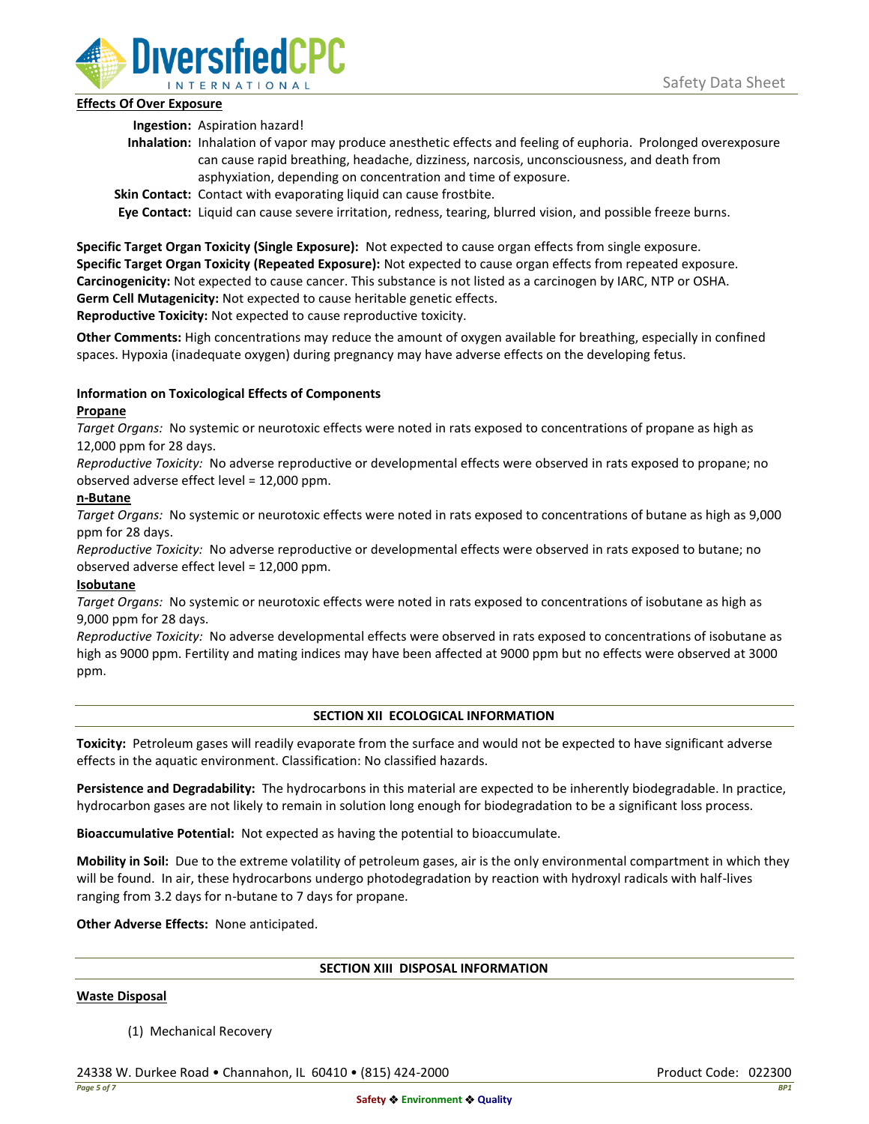

## **Effects Of Over Exposure**

**Ingestion:** Aspiration hazard!

- **Inhalation:** Inhalation of vapor may produce anesthetic effects and feeling of euphoria. Prolonged overexposure can cause rapid breathing, headache, dizziness, narcosis, unconsciousness, and death from asphyxiation, depending on concentration and time of exposure.
- **Skin Contact:** Contact with evaporating liquid can cause frostbite.

**Eye Contact:** Liquid can cause severe irritation, redness, tearing, blurred vision, and possible freeze burns.

**Specific Target Organ Toxicity (Single Exposure):** Not expected to cause organ effects from single exposure. **Specific Target Organ Toxicity (Repeated Exposure):** Not expected to cause organ effects from repeated exposure. **Carcinogenicity:** Not expected to cause cancer. This substance is not listed as a carcinogen by IARC, NTP or OSHA. **Germ Cell Mutagenicity:** Not expected to cause heritable genetic effects.

**Reproductive Toxicity:** Not expected to cause reproductive toxicity.

**Other Comments:** High concentrations may reduce the amount of oxygen available for breathing, especially in confined spaces. Hypoxia (inadequate oxygen) during pregnancy may have adverse effects on the developing fetus.

# **Information on Toxicological Effects of Components**

## **Propane**

*Target Organs:* No systemic or neurotoxic effects were noted in rats exposed to concentrations of propane as high as 12,000 ppm for 28 days.

*Reproductive Toxicity:* No adverse reproductive or developmental effects were observed in rats exposed to propane; no observed adverse effect level = 12,000 ppm.

## **n-Butane**

*Target Organs:* No systemic or neurotoxic effects were noted in rats exposed to concentrations of butane as high as 9,000 ppm for 28 days.

*Reproductive Toxicity:* No adverse reproductive or developmental effects were observed in rats exposed to butane; no observed adverse effect level = 12,000 ppm.

# **Isobutane**

*Target Organs:* No systemic or neurotoxic effects were noted in rats exposed to concentrations of isobutane as high as 9,000 ppm for 28 days.

*Reproductive Toxicity:* No adverse developmental effects were observed in rats exposed to concentrations of isobutane as high as 9000 ppm. Fertility and mating indices may have been affected at 9000 ppm but no effects were observed at 3000 ppm.

# **SECTION XII ECOLOGICAL INFORMATION**

**Toxicity:** Petroleum gases will readily evaporate from the surface and would not be expected to have significant adverse effects in the aquatic environment. Classification: No classified hazards.

**Persistence and Degradability:** The hydrocarbons in this material are expected to be inherently biodegradable. In practice, hydrocarbon gases are not likely to remain in solution long enough for biodegradation to be a significant loss process.

**Bioaccumulative Potential:** Not expected as having the potential to bioaccumulate.

**Mobility in Soil:** Due to the extreme volatility of petroleum gases, air is the only environmental compartment in which they will be found. In air, these hydrocarbons undergo photodegradation by reaction with hydroxyl radicals with half-lives ranging from 3.2 days for n-butane to 7 days for propane.

**Other Adverse Effects:** None anticipated.

### **SECTION XIII DISPOSAL INFORMATION**

### **Waste Disposal**

(1) Mechanical Recovery

24338 W. Durkee Road • Channahon, IL 60410 • (815) 424-2000 Product Code: 022300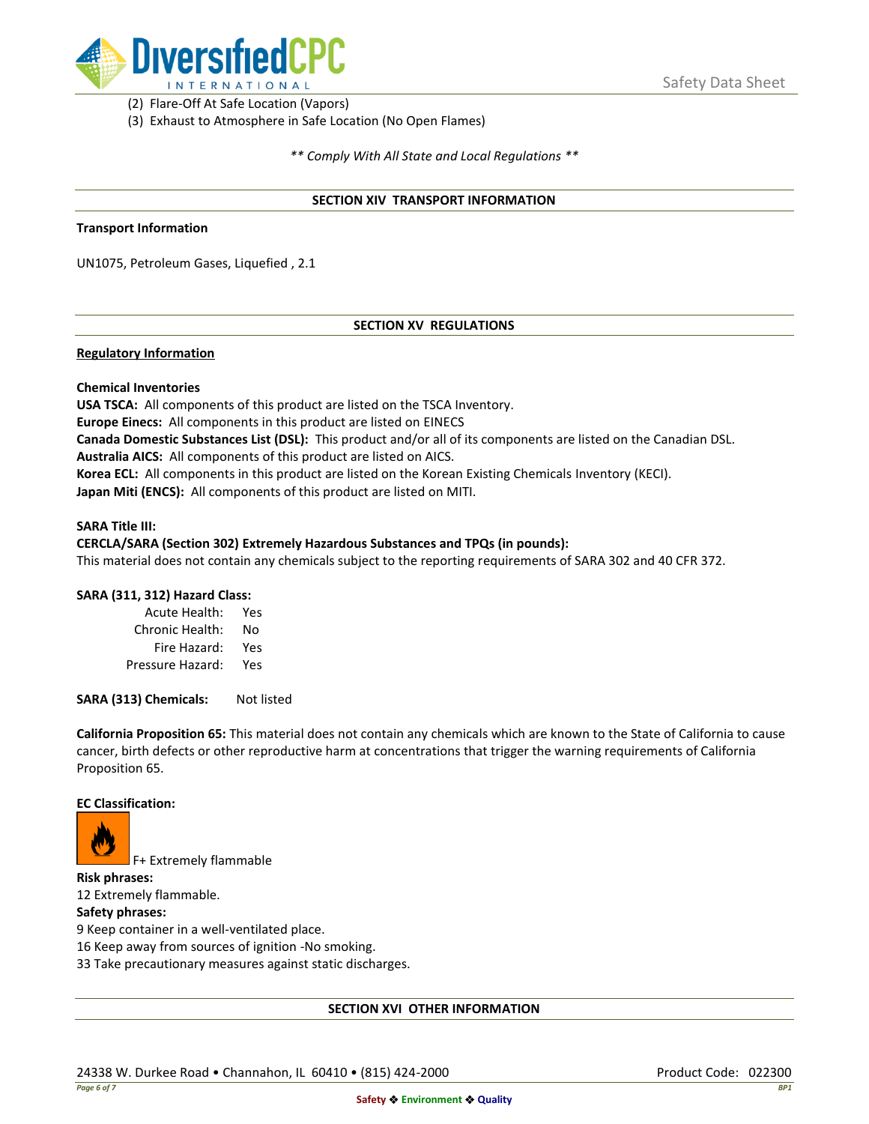

(2) Flare-Off At Safe Location (Vapors)

(3) Exhaust to Atmosphere in Safe Location (No Open Flames)

*\*\* Comply With All State and Local Regulations \*\**

### **SECTION XIV TRANSPORT INFORMATION**

#### **Transport Information**

UN1075, Petroleum Gases, Liquefied , 2.1

## **SECTION XV REGULATIONS**

### **Regulatory Information**

### **Chemical Inventories**

**USA TSCA:** All components of this product are listed on the TSCA Inventory. **Europe Einecs:** All components in this product are listed on EINECS **Canada Domestic Substances List (DSL):** This product and/or all of its components are listed on the Canadian DSL. **Australia AICS:** All components of this product are listed on AICS. **Korea ECL:** All components in this product are listed on the Korean Existing Chemicals Inventory (KECI). **Japan Miti (ENCS):** All components of this product are listed on MITI.

#### **SARA Title III:**

### **CERCLA/SARA (Section 302) Extremely Hazardous Substances and TPQs (in pounds):**

This material does not contain any chemicals subject to the reporting requirements of SARA 302 and 40 CFR 372.

### **SARA (311, 312) Hazard Class:**

| Acute Health:    | Yes |
|------------------|-----|
| Chronic Health:  | No  |
| Fire Hazard:     | Yes |
| Pressure Hazard: | Yes |

**SARA (313) Chemicals:** Not listed

**California Proposition 65:** This material does not contain any chemicals which are known to the State of California to cause cancer, birth defects or other reproductive harm at concentrations that trigger the warning requirements of California Proposition 65.

#### **EC Classification:**



F+ Extremely flammable

**Risk phrases:** 12 Extremely flammable.

## **Safety phrases:**

9 Keep container in a well-ventilated place.

16 Keep away from sources of ignition -No smoking.

33 Take precautionary measures against static discharges.

### **SECTION XVI OTHER INFORMATION**